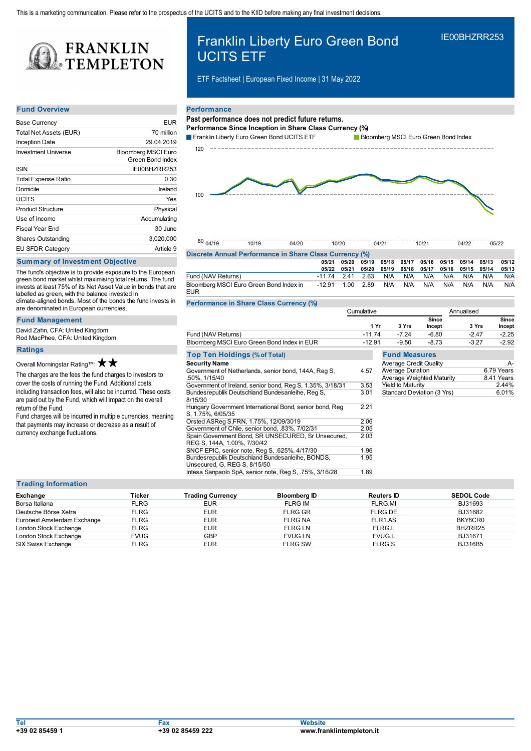

# **Fund Overview**

| <b>Base Currency</b>       | <b>EUR</b>                                     |
|----------------------------|------------------------------------------------|
| Total Net Assets (EUR)     | 70 million                                     |
| <b>Inception Date</b>      | 29.04.2019                                     |
| Investment Universe        | <b>Bloomberg MSCI Euro</b><br>Green Bond Index |
| <b>ISIN</b>                | IE00BHZRR253                                   |
| <b>Total Expense Ratio</b> | 0.30                                           |
| Domicile                   | Ireland                                        |
| UCITS                      | Yes                                            |
| <b>Product Structure</b>   | Physical                                       |
| Use of Income              | Accumulating                                   |
| <b>Fiscal Year Fnd</b>     | 30 June                                        |
| <b>Shares Outstanding</b>  | 3,020,000                                      |
| <b>EU SFDR Category</b>    | Article 9                                      |

## **Summary of Investment Objective**

The fund's objective is to provide exposure to the European green bond market whilst maximising total returns. The fund invests at least 75% of its Net Asset Value in bonds that are labelled as green, with the balance invested in climate-aligned bonds. Most of the bonds the fund invests in are denominated in European currencies.

**Fund Management**

David Zahn, CFA: United Kingdom Rod MacPhee, CFA: United Kingdom

## **Ratings**

Overall Morningstar Rating™:  $\bigstar$  ★

The charges are the fees the fund charges to investors to cover the costs of running the Fund. Additional costs, including transaction fees, will also be incurred. These costs are paid out by the Fund, which will impact on the overall return of the Fund.

Fund charges will be incurred in multiple currencies, meaning that payments may increase or decrease as a result of currency exchange fluctuations.

# Franklin Liberty Euro Green Bond UCITS ETF

ETF Factsheet | European Fixed Income | 31 May 2022

# **Performance**

# **Past performance does not predict future returns.**

**Performance Since Inception in Share Class Currency (%)**





IE00BHZRR253

#### $80004/19$ 04/19 10/19 04/20 10/20 04/21 10/21 04/22 05/22

| Discrete Annual Performance in Share Class Currency (%) |                      |  |             |                                                 |     |                                     |     |     |     |       |
|---------------------------------------------------------|----------------------|--|-------------|-------------------------------------------------|-----|-------------------------------------|-----|-----|-----|-------|
|                                                         | 05/21                |  | 05/20 05/19 |                                                 |     | 05/18 05/17 05/16 05/15 05/14 05/13 |     |     |     | 05/12 |
|                                                         | 05/22                |  |             | 05/21 05/20 05/19 05/18 05/17 05/16 05/15 05/14 |     |                                     |     |     |     | 05/13 |
| Fund (NAV Returns)                                      | -11.74 2.41 2.63 N/A |  |             |                                                 | N/A | N/A                                 | N/A | N/A | N/A | N/A   |
| Bloomberg MSCI Euro Green Bond Index in<br><b>EUR</b>   | -12.91  1.00  2.89   |  |             | N/A                                             | N/A | N/A                                 | N/A | N/A | N/A | N/A   |

**Performance in Share Class Currency (%)**

|                                                                                  | Cumulative |                               |                 | Annualised |                        |  |  |
|----------------------------------------------------------------------------------|------------|-------------------------------|-----------------|------------|------------------------|--|--|
|                                                                                  | 1 Yr       | 3 Yrs                         | Since<br>Incept | 3 Yrs      | <b>Since</b><br>Incept |  |  |
| Fund (NAV Returns)                                                               | $-11.74$   | $-7.24$                       | $-6.80$         | $-2.47$    | $-2.25$                |  |  |
| Bloomberg MSCI Euro Green Bond Index in EUR                                      | $-12.91$   | -9.50                         | $-8.73$         | $-3.27$    | $-2.92$                |  |  |
| <b>Top Ten Holdings (% of Total)</b>                                             |            | <b>Fund Measures</b>          |                 |            |                        |  |  |
| <b>Security Name</b>                                                             |            | <b>Average Credit Quality</b> |                 |            | А-                     |  |  |
| Government of Netherlands, senior bond, 144A, Reg S,                             | 4.57       | <b>Average Duration</b>       |                 |            | 6.79 Years             |  |  |
| .50%. 1/15/40                                                                    |            | Average Weighted Maturity     |                 |            | 8.41 Years             |  |  |
| Government of Ireland, senior bond, Reg S, 1.35%, 3/18/31                        | 3.53       | <b>Yield to Maturity</b>      |                 |            | 2.44%                  |  |  |
| Bundesrepublik Deutschland Bundesanleihe, Reg S.<br>8/15/30                      | 3.01       | Standard Deviation (3 Yrs)    |                 |            | 6.01%                  |  |  |
| Hungary Government International Bond, senior bond, Reg<br>S, 1.75%, 6/05/35     | 2.21       |                               |                 |            |                        |  |  |
| Orsted ASReg S, FRN, 1.75%, 12/09/3019                                           | 2.06       |                               |                 |            |                        |  |  |
| Government of Chile, senior bond, .83%, 7/02/31                                  | 2.05       |                               |                 |            |                        |  |  |
| Spain Government Bond, SR UNSECURED, Sr Unsecured,                               | 2.03       |                               |                 |            |                        |  |  |
| REG S, 144A, 1.00%, 7/30/42                                                      |            |                               |                 |            |                        |  |  |
| SNCF EPIC, senior note, Reg S, .625%, 4/17/30                                    | 1.96       |                               |                 |            |                        |  |  |
| Bundesrepublik Deutschland Bundesanleihe, BONDS,<br>Unsecured, G, REG S, 8/15/50 | 1.95       |                               |                 |            |                        |  |  |

# **Trading Information**

| Exchange                    | Ticker      | <b>Trading Currency</b> | Bloomberg ID   | <b>Reuters ID</b> | <b>SEDOL Code</b> |
|-----------------------------|-------------|-------------------------|----------------|-------------------|-------------------|
| Borsa Italiana              | <b>FLRG</b> | <b>EUR</b>              | <b>FLRG IM</b> | FLRG.MI           | BJ31693           |
|                             |             |                         |                |                   |                   |
| Deutsche Börse Xetra        | <b>FLRG</b> | <b>EUR</b>              | <b>FLRG GR</b> | FLRG.DE           | BJ31682           |
| Euronext Amsterdam Exchange | <b>FLRG</b> | <b>EUR</b>              | <b>FLRG NA</b> | FLR1.AS           | BKY8CR0           |
| London Stock Exchange       | <b>FLRG</b> | <b>EUR</b>              | FLRG LN        | FLRG.L            | BHZRR25           |
| London Stock Exchange       | <b>FVUG</b> | GBP                     | <b>FVUG LN</b> | <b>FVUG.L</b>     | BJ31671           |
| SIX Swiss Exchange          | <b>FLRG</b> | <b>EUR</b>              | <b>FLRG SW</b> | FLRG.S            | <b>BJ316B5</b>    |

Intesa Sanpaolo SpA, senior note, Reg S, .75%, 3/16/28 1.89